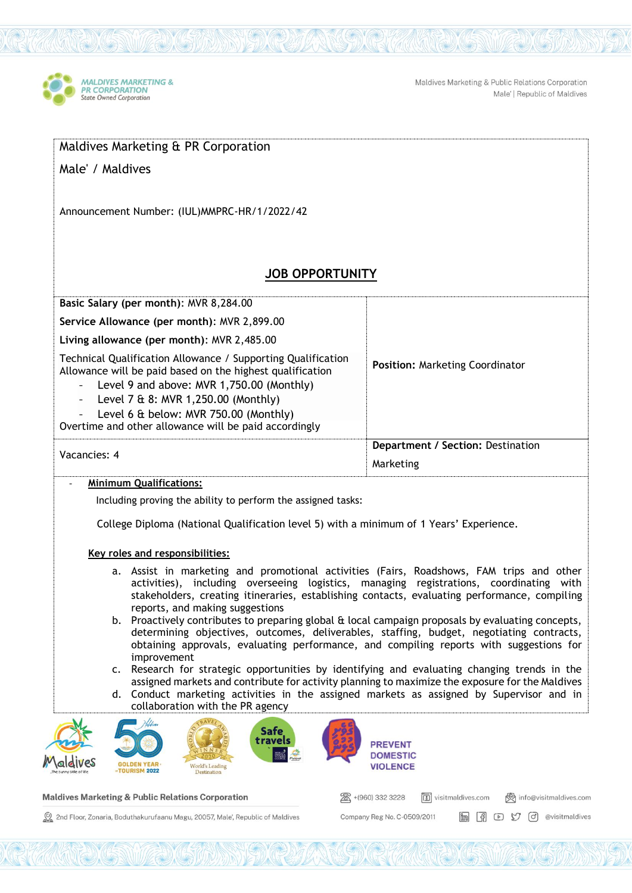

Maldives Marketing & Public Relations Corporation Male' | Republic of Maldives

| Maldives Marketing & PR Corporation                                                                                                                                                                                                                                                                                                                                                                                                                                                                                                                                                                                                                                                                                                                                                                                                                                                                                                                                    |                                                                                   |
|------------------------------------------------------------------------------------------------------------------------------------------------------------------------------------------------------------------------------------------------------------------------------------------------------------------------------------------------------------------------------------------------------------------------------------------------------------------------------------------------------------------------------------------------------------------------------------------------------------------------------------------------------------------------------------------------------------------------------------------------------------------------------------------------------------------------------------------------------------------------------------------------------------------------------------------------------------------------|-----------------------------------------------------------------------------------|
| Male' / Maldives                                                                                                                                                                                                                                                                                                                                                                                                                                                                                                                                                                                                                                                                                                                                                                                                                                                                                                                                                       |                                                                                   |
| Announcement Number: (IUL) MMPRC-HR/1/2022/42                                                                                                                                                                                                                                                                                                                                                                                                                                                                                                                                                                                                                                                                                                                                                                                                                                                                                                                          |                                                                                   |
| <b>JOB OPPORTUNITY</b>                                                                                                                                                                                                                                                                                                                                                                                                                                                                                                                                                                                                                                                                                                                                                                                                                                                                                                                                                 |                                                                                   |
| Basic Salary (per month): MVR 8,284.00                                                                                                                                                                                                                                                                                                                                                                                                                                                                                                                                                                                                                                                                                                                                                                                                                                                                                                                                 |                                                                                   |
| Service Allowance (per month): MVR 2,899.00                                                                                                                                                                                                                                                                                                                                                                                                                                                                                                                                                                                                                                                                                                                                                                                                                                                                                                                            |                                                                                   |
| Living allowance (per month): MVR 2,485.00                                                                                                                                                                                                                                                                                                                                                                                                                                                                                                                                                                                                                                                                                                                                                                                                                                                                                                                             |                                                                                   |
| Technical Qualification Allowance / Supporting Qualification<br>Allowance will be paid based on the highest qualification<br>Level 9 and above: MVR 1,750.00 (Monthly)<br>Level 7 & 8: MVR 1,250.00 (Monthly)<br>$\blacksquare$<br>Level 6 & below: MVR 750.00 (Monthly)<br>Overtime and other allowance will be paid accordingly                                                                                                                                                                                                                                                                                                                                                                                                                                                                                                                                                                                                                                      | <b>Position: Marketing Coordinator</b>                                            |
| Vacancies: 4                                                                                                                                                                                                                                                                                                                                                                                                                                                                                                                                                                                                                                                                                                                                                                                                                                                                                                                                                           | Department / Section: Destination                                                 |
|                                                                                                                                                                                                                                                                                                                                                                                                                                                                                                                                                                                                                                                                                                                                                                                                                                                                                                                                                                        | Marketing                                                                         |
| <b>Minimum Qualifications:</b>                                                                                                                                                                                                                                                                                                                                                                                                                                                                                                                                                                                                                                                                                                                                                                                                                                                                                                                                         |                                                                                   |
| Including proving the ability to perform the assigned tasks:<br>College Diploma (National Qualification level 5) with a minimum of 1 Years' Experience.<br>Key roles and responsibilities:                                                                                                                                                                                                                                                                                                                                                                                                                                                                                                                                                                                                                                                                                                                                                                             |                                                                                   |
| a. Assist in marketing and promotional activities (Fairs, Roadshows, FAM trips and other<br>activities), including overseeing logistics, managing registrations, coordinating with<br>stakeholders, creating itineraries, establishing contacts, evaluating performance, compiling<br>reports, and making suggestions<br>b. Proactively contributes to preparing global & local campaign proposals by evaluating concepts,<br>determining objectives, outcomes, deliverables, staffing, budget, negotiating contracts,<br>obtaining approvals, evaluating performance, and compiling reports with suggestions for<br>improvement<br>Research for strategic opportunities by identifying and evaluating changing trends in the<br>c.<br>assigned markets and contribute for activity planning to maximize the exposure for the Maldives<br>d. Conduct marketing activities in the assigned markets as assigned by Supervisor and in<br>collaboration with the PR agency |                                                                                   |
| Safe<br>travels<br>World's Leading<br><b>TOURISM 2022</b><br>Destination                                                                                                                                                                                                                                                                                                                                                                                                                                                                                                                                                                                                                                                                                                                                                                                                                                                                                               | <b>PREVENT</b><br><b>DOMESTIC</b><br><b>VIOLENCE</b>                              |
| <b>Maldives Marketing &amp; Public Relations Corporation</b>                                                                                                                                                                                                                                                                                                                                                                                                                                                                                                                                                                                                                                                                                                                                                                                                                                                                                                           | +(960) 332 3228<br>$\sqrt{3}$<br>visitmaldives.com<br>info@visitmaldives.com<br>⋙ |

Company Reg No. C-0509/2011

in (1 D M d evisitmaldives

2nd Floor, Zonaria, Boduthakurufaanu Magu, 20057, Male', Republic of Maldives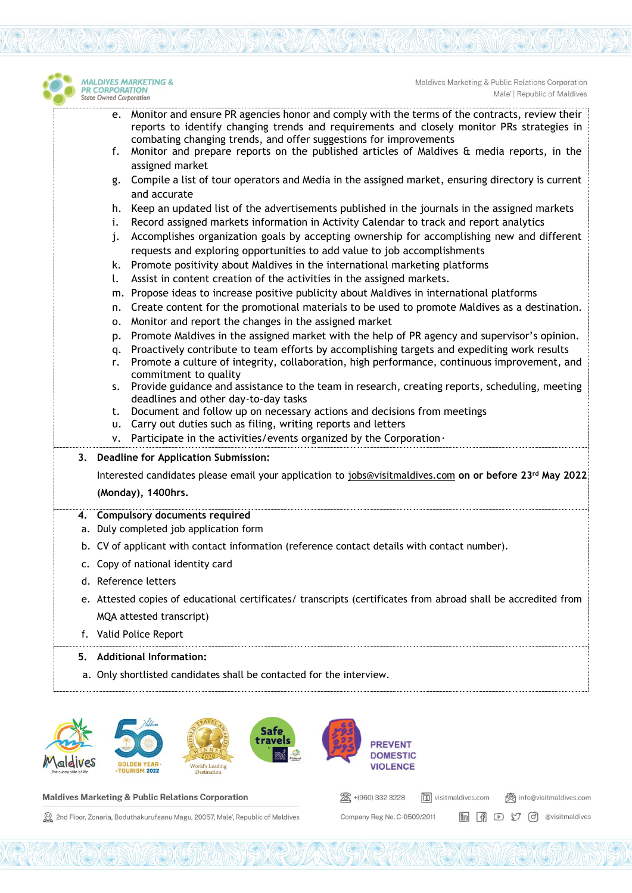

Maldives Marketing & Public Relations Corporation Male' | Republic of Maldives

- e. Monitor and ensure PR agencies honor and comply with the terms of the contracts, review their reports to identify changing trends and requirements and closely monitor PRs strategies in combating changing trends, and offer suggestions for improvements
- f. Monitor and prepare reports on the published articles of Maldives & media reports, in the assigned market
- g. Compile a list of tour operators and Media in the assigned market, ensuring directory is current and accurate
- h. Keep an updated list of the advertisements published in the journals in the assigned markets
- i. Record assigned markets information in Activity Calendar to track and report analytics
- j. Accomplishes organization goals by accepting ownership for accomplishing new and different requests and exploring opportunities to add value to job accomplishments
- k. Promote positivity about Maldives in the international marketing platforms
- l. Assist in content creation of the activities in the assigned markets.
- m. Propose ideas to increase positive publicity about Maldives in international platforms
- n. Create content for the promotional materials to be used to promote Maldives as a destination.
- o. Monitor and report the changes in the assigned market
- p. Promote Maldives in the assigned market with the help of PR agency and supervisor's opinion.
- q. Proactively contribute to team efforts by accomplishing targets and expediting work results
- r. Promote a culture of integrity, collaboration, high performance, continuous improvement, and commitment to quality
- s. Provide guidance and assistance to the team in research, creating reports, scheduling, meeting deadlines and other day-to-day tasks
- t. Document and follow up on necessary actions and decisions from meetings
- u. Carry out duties such as filing, writing reports and letters
- v. Participate in the activities/events organized by the Corporation *.*

**3. Deadline for Application Submission:** 

Interested candidates please email your application to [jobs@visitmaldives.com](mailto:jobs@visitmaldives.com) **on or before 23rd May 2022 (Monday), 1400hrs.**

## **4. Compulsory documents required**

- a. Duly completed job application form
- b. CV of applicant with contact information (reference contact details with contact number).
- c. Copy of national identity card
- d. Reference letters
- e. Attested copies of educational certificates/ transcripts (certificates from abroad shall be accredited from MQA attested transcript)
- f. Valid Police Report
- **5. Additional Information:**
- a. Only shortlisted candidates shall be contacted for the interview.